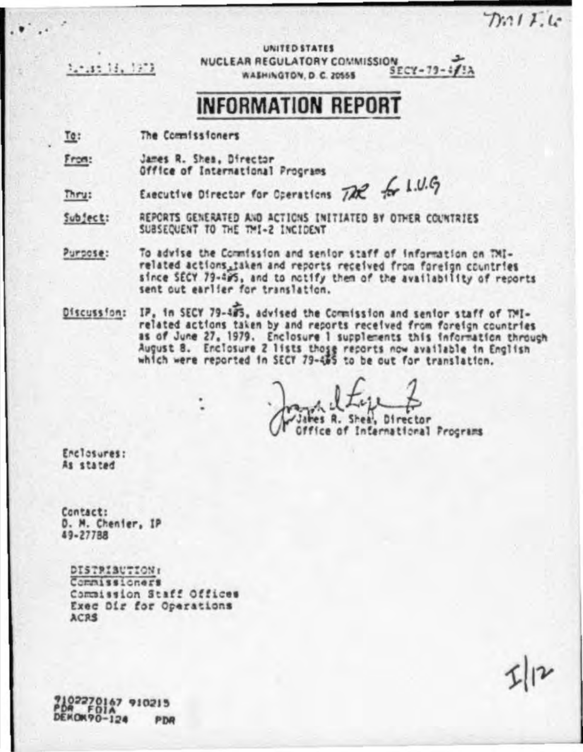$D.111c$ 

turist 13, 1973

UNITED STATES NUCLEAR REGULATORY COMMISSION  $SECY-79-412A$ WASHINGTON, D.C. 20555

# **INFORMATION REPORT**

To: The Commissioners

From: James R. Shea, Director Office of International Procrams

Executive Director for Operations  $726$  for 1.0.6 Thru:

Subject: REPORTS GENERATED AND ACTIONS INITIATED BY OTHER COUNTRIES SUBSEQUENT TO THE TMI-2 INCIDENT

To advise the Commission and senior staff of information on TMI-Purpose: related actions, taken and reports received from foreign countries since SECY 79-495, and to notify them of the availability of reports sent out earlier for translation.

IP, in SECY 79-485, advised the Commission and senior staff of TMI-Discussion: related actions taken by and reports received from foreign countries as of June 27, 1979. Enclosure 1 supplements this information through August 8. Enclosure 2 lists those reports now available in English<br>which were reported in SECT 79-455 to be out for translation.

James R. Shea, Director Office of International Programs

Enclosures: As stated

Contact: D. M. Chenier, IP 49-27788

DISTRIBUTION: Commissioners Commission Staff Offices Exec Dir for Operations ACRS

2102270147 910215 DEKON90-124 **PDR**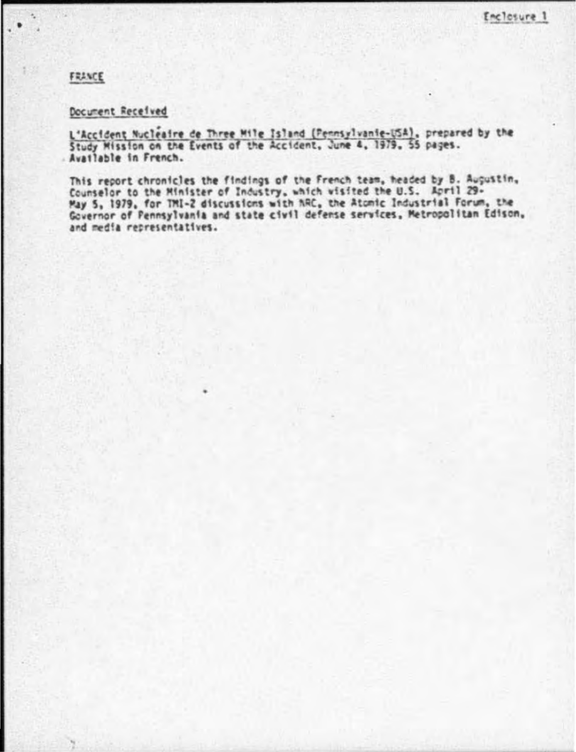### FRANCE

# Document Received

L'Accident Nucleaire de Three Mile Island (Pennsylvanie-USA), prepared by the<br>Study Mission on the Events of the Accident, June 4, 1979, 55 pages. Avatlable in French.

This report chronicles the findings of the French team, headed by B. Augustin, Counselor to the Minister of Industry, which wisited the U.S. April 29-May 5, 1979, for TM1-2 discussions with NAC, the Atomic Industrial Forum, the<br>Governor of Pennsylvania and state civil defense services, Metropolitan Edison, and media representatives.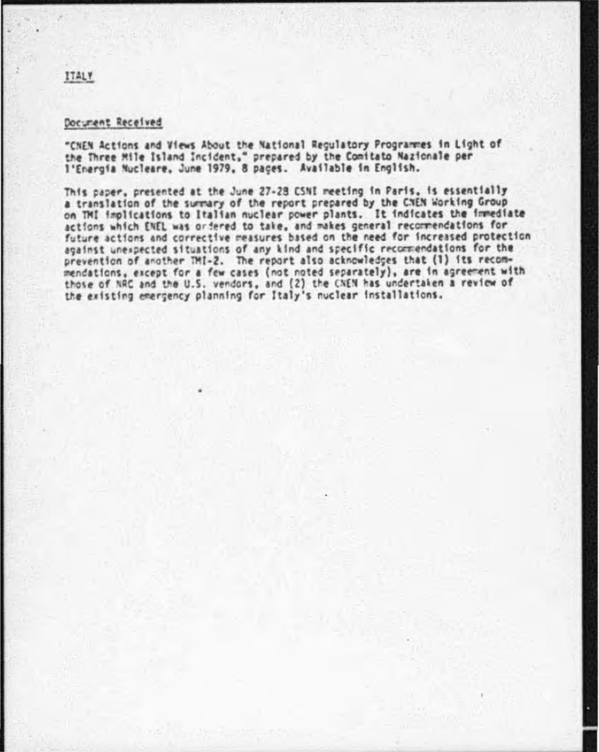#### Document Received

"CNEN Actions and Views About the National Regulatory Programmes in Light of the Three Mile Island Incident," prepared by the Comitato Nazionale per l'Energia Nucleare, June 1979, 8 paçes. Available in English.

This paper, presented at the June 27-28 CSNI meeting in Paris, is essentially a translation of the surmary of the report prepared by the CNEN Working Group on TMI implications to Italian nuclear power plants. It indicates the immediate actions which ENEL was ordered to take, and makes general recommendations for future actions and corrective measures based on the need for increased protection against unexpected situations of any kind and specific recommendations for the prevention of another TMI-2. The report also acknowledges that (1) its recommendations, except for a few cases (not noted separately), are in agreement with those of NRC and the U.S. vendors, and (2) the CNEN has undertaken a review of the existing emergency planning for Italy's nuclear installations.

#### **ITALY**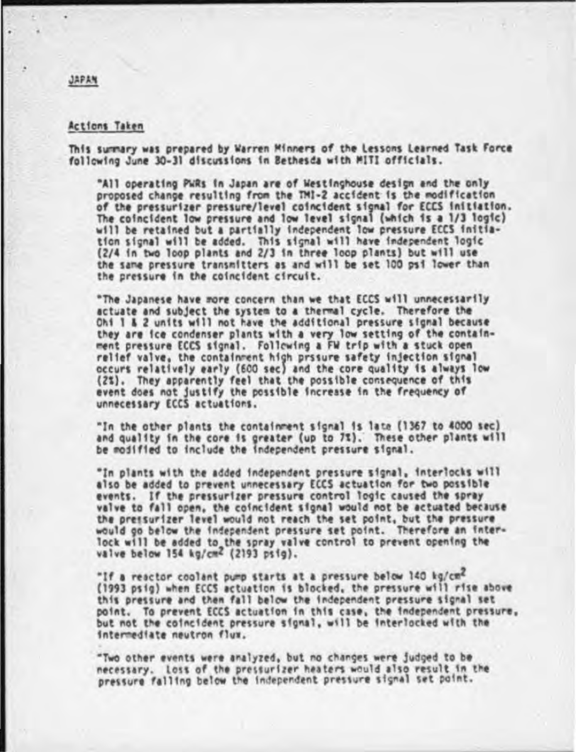#### **Actions Taken**

This summary was prepared by Warren Minners of the Lessons Learned Task Force following June 30-31 discussions in Bethesda with MITI officials.

"All operating PWRs in Japan are of Westinghouse design and the only proposed change resulting from the TMI-2 accident is the modification of the pressurizer pressure/level coincident signal for ECCS initiation. The coincident low pressure and low level signal (which is a 1/3 logic) will be retained but a partially independent low pressure ECCS initiation signal will be added. This signal will have independent logic (2/4 in two loop plants and 2/3 in three loop plants) but will use the same pressure transmitters as and will be set 100 psi lower than the pressure in the coincident circuit.

"The Japanese have more concern than we that ECCS will unnecessarily actuate and subject the system to a thermal cycle. Therefore the Ohi 1 & 2 units will not have the additional pressure signal because they are ice condenser plants with a very low setting of the containment pressure ECCS signal. Following a FW trip with a stuck open relief valve, the containment high prssure safety injection signal occurs relatively early (600 sec) and the core quality is always low (2%). They apparently feel that the possible consequence of this event does not justify the possible increase in the frequency of unnecessary ECCS actuations.

"In the other plants the containment signal is late (1367 to 4000 sec) and quality in the core is greater (up to 7%). These other plants will be modified to include the independent pressure signal.

"In plants with the added independent pressure signal, interlocks will also be added to prevent unnecessary ECCS actuation for two possible events. If the pressurizer pressure control logic caused the spray valve to fall open, the coincident signal would not be actuated because the pressurizer level would not reach the set point, but the pressure would go below the independent pressure set point. Therefore an interlock will be added to the spray valve control to prevent opening the valve below 154 kg/cm2 (2193 psig).

"If a reactor coolant pump starts at a pressure below 140 kg/cm2 (1993 psig) when ECCS actuation is blocked, the pressure will rise above this pressure and then fall below the independent pressure signal set point. To prevent ECCS actuation in this case, the independent pressure, but not the coincident pressure signal, will be interlocked with the intermediate neutron flux.

"Two other events were analyzed, but no changes were judged to be necessary. Loss of the pressurizer heaters would also result in the pressure falling below the independent pressure signal set point.

#### JAPAN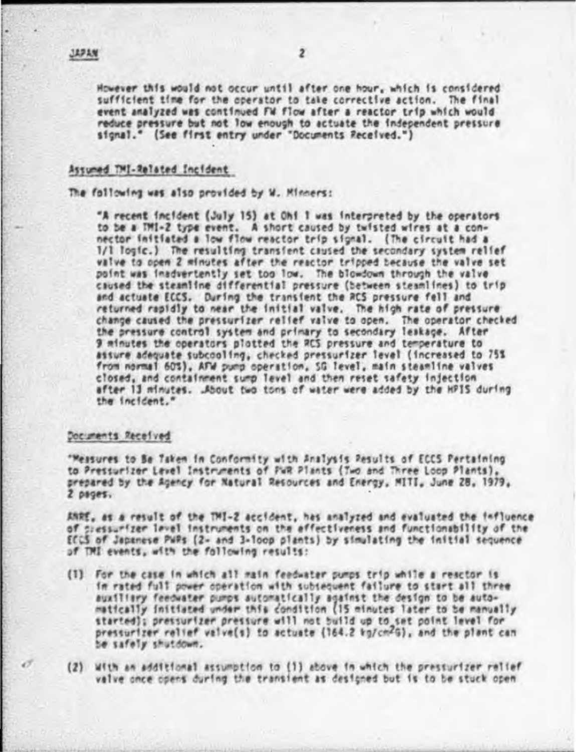However this would not occur until after one hour, which is considered sufficient time for the operator to take corrective action. The final event analyzed was continued FW flow after a reactor trip which would reduce pressure but not low enough to actuate the independent pressure signal." (See first entry under "Documents Received.")

#### Assumed TMI-Related Incident

The following was also provided by W. Minners:

"A recent incident (July 15) at Ohi 1 was interpreted by the operators to be a TMI-2 type event. A short caused by twisted wires at a connector initiated a low flow reactor trip signal. (The circuit had a 1/1 logic.) The resulting transient caused the secondary system relief valve to noon 2 minutes after the reactor tripped because the valve set point was inadvertently set too low. The blowdown through the valve caused the steamline differential pressure (between steamlines) to trip and actuate ECCS. During the transient the RCS pressure fell and returned rapidly to near the initial valve. The high rate of pressure change caused the pressurizer relief valve to open. The operator checked the pressure control system and primary to secondary leakage. After 9 minutes the operators plotted the RCS pressure and temperature to assure adequate subcooling, checked pressurizer level (increased to 75% from normal 60%), AFW pump operation, SG level, main steamline valves closed, and containment sump level and then reset safety injection after 13 minutes. .About two tons of water were added by the HPIS during the incident."

#### Documents Received

"Measures to Be Taken in Conformity with Analysis Results of ECCS Pertaining to Pressurizer Lavel Instruments of FuR Plants (Two and Three Loop Plants). prepared by the Agency for Natural Resources and Energy, MITI, June 28, 1979,  $2$  pages.

ANRE, as a result of the TMI-2 accident, has analyzed and evaluated the influence of siessurfzer lavel instruments on the effectiveness and functionability of the ECCS of Japanese PWPs (2- and 3-loop plants) by simulating the initial sequence of TMI events, with the following results:

- (1) For the case in which all main feedwater pumps trip while a reactor is in rated full power operation with subsequent failure to start all three auxiliary feedwater pumps automatically against the design to be automatically initiated under this condition (15 minutes later to be manually started); pressurizer pressure will not build up to set point level for pressurizer relief valve(s) to actuate (164.2 kg/cm2G), and the plant can be safely shutdown.
- (2) With an additional assumption to (1) above in which the pressurizer ralief valve once opens during the transient as designed but is to be stuck open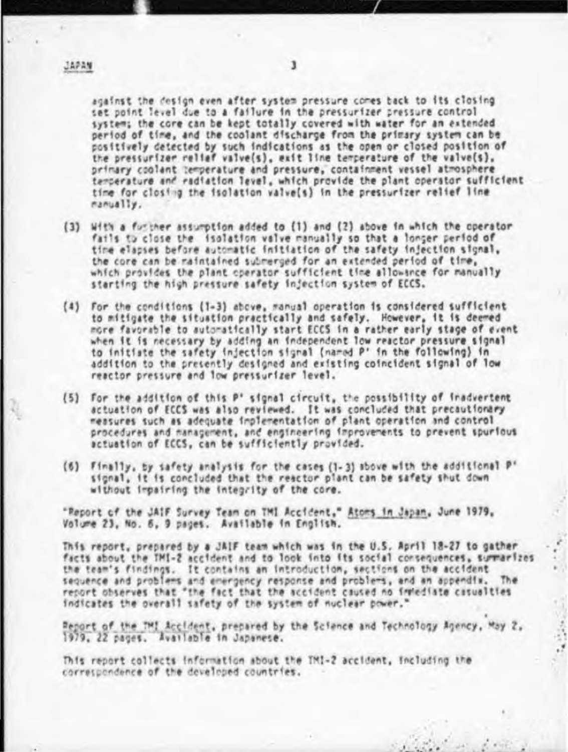against the design even after system pressure comes back to its closing set point level due to a failure in the pressurizer pressure control system; the core can be kept totally covered with water for an extended period of time, and the coolant discharge from the primary system can be positively detected by such indications as the open or closed position of the pressurfzer relief valve(s), exit line temperature of the valve(s), primary coolent temperature and pressure, containment vessel atmosphere temperature and radiation level, which provide the plant operator sufficient time for closing the isolation valve(s) in the pressurizer relief line manually.

- (3) With a further assumption added to (1) and (2) above in which the operator fails to close the isolation valve manually so that a longer period of time elapses before automatic initiation of the safety injection signal, the core can be maintained submerged for an extended period of time, which provides the plant operator sufficient time allowance for manually starting the high pressure safety injection system of ECCS.
- (4) For the conditions (1-3) above, manual operation is considered sufficient to mitigate the situation practically and safely. However, it is deemed more favorable to automatically start ECCS in a rather early stage of event when it is necessary by adding an independent low reactor pressure signal to initiate the safety injection signal (named P' in the following) in addition to the presently designed and existing coincident signal of low reactor pressure and low pressurfzer level.
- (5) For the addition of this P' signal circuit, the possibility of inadvertent actuation of ECCS was also reviewed. It was concluded that precautionary measures such as adequate implementation of plant operation and control procedures and management, and engineering improvements to prevent spurious actuation of ECCS, can be sufficiently provided.
- (6) Finally, by safety analysis for the cases (1-3) above with the additional P' signal, it is concluded that the reactor plant can be safety shut down without impairing the integrity of the core.

"Report of the JAIF Survey Team on TMI Accident," Atoms in Japan, June 1979, Volume 23, No. 6, 9 pages. Available in English.

This report, prepared by a JAIF team which was in the U.S. April 18-27 to gather facts about the TMI-2 accident and to look into its social consequences, summarizes the team's findings. It contains an introduction, sections on the accident sequence and problems and energency response and problems, and an appendix. The report observes that "the fact that the accident caused no inmediate casualties indicates the overall safety of the system of nuclear power."

Peport of the TMI Accident, prepared by the Science and Technology Agency, May 2, 1979, 22 pages. Available in Japanese.

This report collects information about the TMI-2 accident, including the correspondence of the developed countries.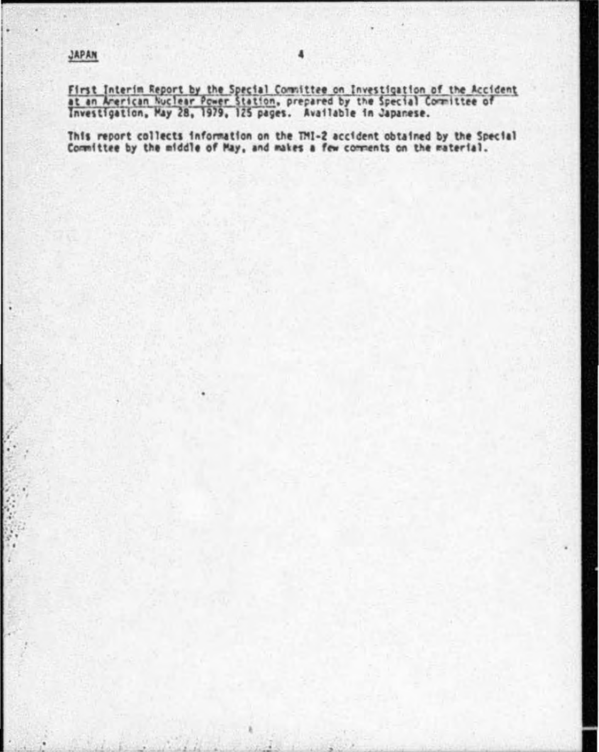First Interim Report by the Special Committee on Investigation of the Accident<br>at an American Nuclear Power Station, prepared by the Special Committee of<br>Investigation, May 28, 1979, 125 pages. Available in Japanese.

This report collects information on the TM1-2 accident obtained by the Special<br>Committee by the middle of May, and makes a few comments on the material.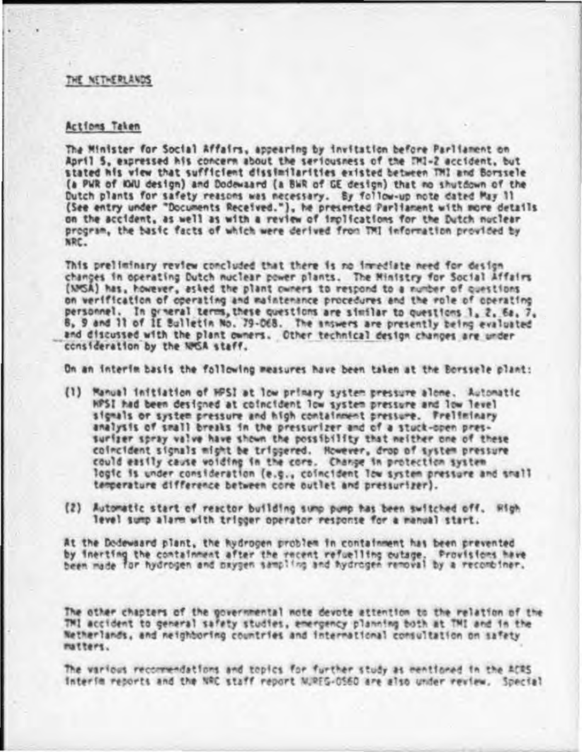#### THE NETHERLANDS

#### Actions Taken

The Minister for Social Affairs, appearing by invitation before Parliament on April 5. expressed his concern about the seriousness of the TM1-2 accident, but stated his view that sufficient dissimilarities existed between TMI and Borssele (a PWR of IGU design) and Dodewaard (a BWR of GE design) that no shutdown of the Dutch plants for safety reasons was necessary. By follow-up note dated May 11 (See entry under "Documents Received."), he presented Parliament with more details on the accident, as well as with a review of implications for the Dutch nuclear program, the basic facts of which were derived from TMI information provided by NRC.

This preliminary review concluded that there is no invediate need for design changes in operating Dutch nuclear power plants. The Ministry for Social Affairs (NMSA) has, however, asked the plant owners to respond to a number of questions on verification of operating and maintenance procedures and the role of operating personnel. In graeral terms, these questions are similar to questions 1, 2, 6a, 7, 8, 9 and 11 of IE Bulletin No. 79-068. The answers are presently being evaluated and discussed with the plant owners. Other technical design changes are under consideration by the NMSA staff.

On an interim basis the following measures have been taken at the Borssele plant:

- (1) Manuel initiation of HPSI at low primary system pressure alone. Automatic HPSI had been designed at coincident low system pressure and low level signals or system pressure and high containment pressure. Freliminary analysis of small breaks in the pressurizer and of a stuck-open pressurizer spray valve have shown the possibility that neither one of these coincident signals might be triggered. However, drop of system pressure could easily cause voiding in the core. Change in protection system logic is under consideration (e.g., coincident low system pressure and shall temperature difference between core outlet and pressurizer).
- (2) Automatic start of reactor building sump pump has been switched off. High level sump alarm with tripper operator response for a manual start.

At the Dodewaard plant, the hydrogen problem in containment has been prevented by inerting the containment after the recent refuelling outage. Provisions have<br>been made for hydrogen and bxygen sampling and hydrogen removal by a recombiner.

The other chapters of the governmental note devote attention to the relation of the TMI accident to general safaty studies, emergency planning both at TMI and in the Netherlands, and neighboring countries and international consultation on safety matters.

The various recommendations and topics for further study as mentioned in the ACRS Interim reports and the NRC staff report NURFG-0560 are also under review. Special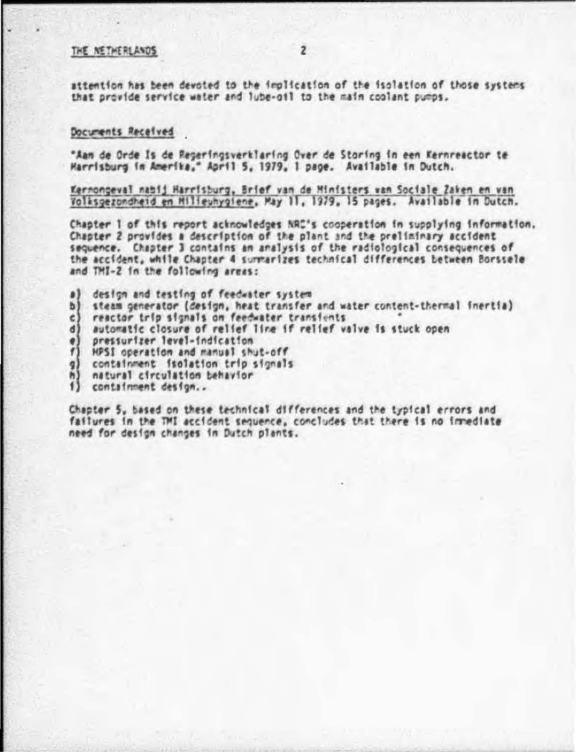#### THE NETHERLANDS

attention has been devoted to the implication of the isolation of those systems that provide service water and lube-oil to the main coolant pumps.

#### Documents Received

"Aan de Orde Is de Regeringsverklaring Over de Storing in een Kernreactor te Harrisburg in Amerika." April 5, 1979, 1 page. Available in Dutch.

Kernongeval natij Harrisburg, Brief van de Ministers van Sociale Zaken en van Volksgezondheid en Milieuhygiene, May 11, 1979, 15 pages. Available in Dutch.

Chapter 1 of this report acknowledges NAC's cooperation in supplying information. Chapter 2 provides a description of the plant and the preliminary accident sequence. Chapter 3 contains an analysis of the radiological consequences of the accident, while Chapter 4 surmarizes technical differences between Borssele and THI-2 in the following areas:

- $\bullet$ design and testing of feedwater system
- b) steam generator (design, heat transfer and water content-thermal inertia)
- reactor trip signals on feedwater transients  $\epsilon$
- d) automatic closure of relief line if relief valve is stuck open
- e) pressurizer level-indication
- f) HPSI operation and manual shut-off
- $q$ containment isolation trip signals
- h) natural circulation behavior
- 1) containment design...

Chapter 5, based on these technical differences and the typical errors and failures in the TMI accident sequence, concludes that there is no immediate need for design changes in Dutch plants.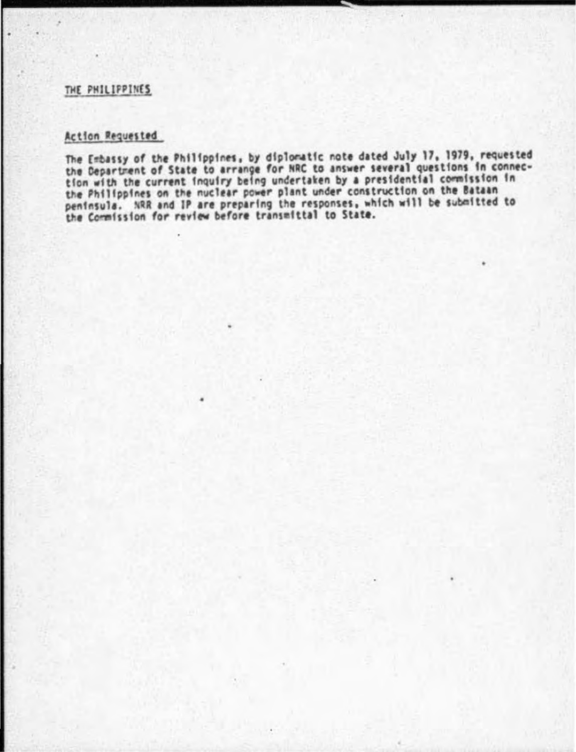#### THE PHILIPPINES

## Action Requested

The Embassy of the Philippines, by diplomatic note dated July 17, 1979, requested the Department of State to arrange for NRC to answer several questions in connection with the current inquiry being undertaken by a presidential commission in<br>the Philippines on the nuclear power plant under construction on the Bataan peninsula. NRR and IP are preparing the responses, which will be submitted to<br>the Commission for review before transmittal to State.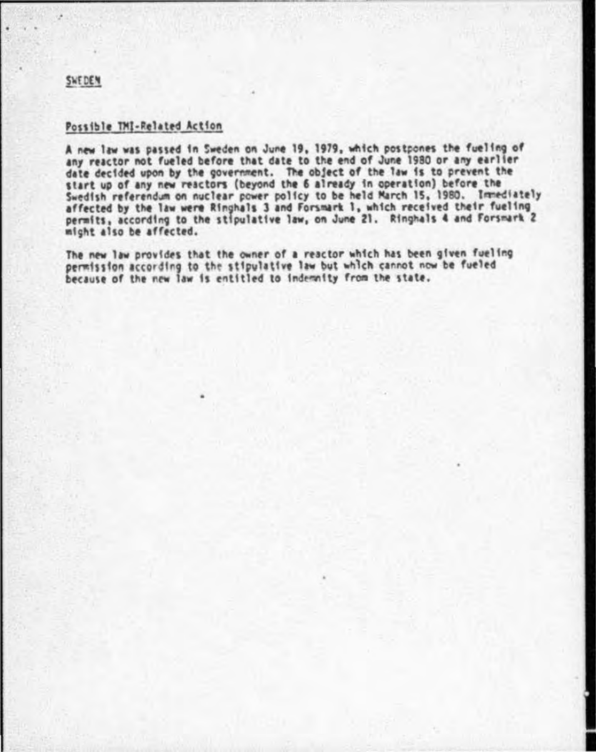#### SWEDEN

#### Possible TMI-Related Action

A new law was passed in Sweden on June 19, 1979, which postpones the fueling of any reactor not fueled before that date to the end of June 1980 or any earlier date decided upon by the government. The object of the law is to prevent the start up of any new reactors (beyond the 6 already in operation) before the Swedish referendum on nuclear power policy to be held March 15, 1980. Immediately<br>affected by the law were Ringhals 3 and Forsmark 1, which received their fueling permits, according to the stipulative law, on June 21. Ringhals 4 and Forsmark 2 micht also be affected.

The new law provides that the owner of a reactor which has been given fueling permission according to the stipulative law but which cannot now be fueled because of the new law is entitled to indemnity from the state.